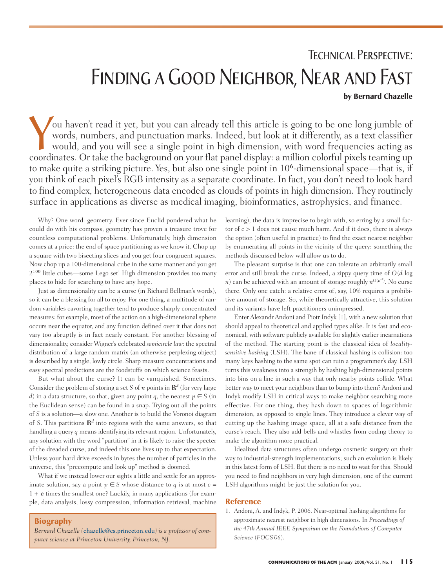## Technical Perspective: FINDING A GOOD NEIGHBOR, NEAR AND FAST **by Bernard Chazelle**

You haven't read it yet, but you can already tell this article is going to be one long jumble of words, numbers, and punctuation marks. Indeed, but look at it differently, as a text classifier would, and you will see a single point in high dimension, with word frequencies acting as coordinates. Or take the background on your flat panel display: a million colorful pixels teaming up to make quite a striking picture. Yes, but also one single point in  $10<sup>6</sup>$ -dimensional space—that is, if you think of each pixel's RGB intensity as a separate coordinate. In fact, you don't need to look hard to find complex, heterogeneous data encoded as clouds of points in high dimension. They routinely surface in applications as diverse as medical imaging, bioinformatics, astrophysics, and finance.

Why? One word: geometry. Ever since Euclid pondered what he could do with his compass, geometry has proven a treasure trove for countless computational problems. Unfortunately, high dimension comes at a price: the end of space partitioning as we know it. Chop up a square with two bisecting slices and you get four congruent squares. Now chop up a 100-dimensional cube in the same manner and you get 2<sup>100</sup> little cubes—some Lego set! High dimension provides too many places to hide for searching to have any hope.

Just as dimensionality can be a curse (in Richard Bellman's words), so it can be a blessing for all to enjoy. For one thing, a multitude of random variables cavorting together tend to produce sharply concentrated measures: for example, most of the action on a high-dimensional sphere occurs near the equator, and any function defined over it that does not vary too abruptly is in fact nearly constant. For another blessing of dimensionality, consider Wigner's celebrated *semicircle law*: the spectral distribution of a large random matrix (an otherwise perplexing object) is described by a single, lowly circle. Sharp measure concentrations and easy spectral predictions are the foodstuffs on which science feasts.

But what about the curse? It can be vanquished. Sometimes. Consider the problem of storing a set *S* of *n* points in  $\mathbb{R}^d$  (for very large *d*) in a data structure, so that, given any point *q*, the nearest  $p \in S$  (in the Euclidean sense) can be found in a snap. Trying out all the points of *S* is a solution—a slow one. Another is to build the Voronoi diagram of *S*. This partitions **R***<sup>d</sup>* into regions with the same answers, so that handling a query *q* means identifying its relevant region. Unfortunately, any solution with the word "partition" in it is likely to raise the specter of the dreaded curse, and indeed this one lives up to that expectation. Unless your hard drive exceeds in bytes the number of particles in the universe, this "precompute and look up" method is doomed.

What if we instead lower our sights a little and settle for an approximate solution, say a point  $p \in S$  whose distance to *q* is at most  $c =$  $1 + \varepsilon$  times the smallest one? Luckily, in many applications (for example, data analysis, lossy compression, information retrieval, machine

**Biography**

*Bernard Chazelle (*chazelle@cs.princeton.edu*) is a professor of computer science at Princeton University, Princeton, NJ.*

learning), the data is imprecise to begin with, so erring by a small factor of *c* > 1 does not cause much harm. And if it does, there is always the option (often useful in practice) to find the exact nearest neighbor by enumerating all points in the vicinity of the query: something the methods discussed below will allow us to do.

The pleasant surprise is that one can tolerate an arbitrarily small error and still break the curse. Indeed, a zippy query time of *O*(*d* log *n*) can be achieved with an amount of storage roughly  $n^{O(\varepsilon^2)}$ . No curse there. Only one catch: a relative error of, say, 10% requires a prohibitive amount of storage. So, while theoretically attractive, this solution and its variants have left practitioners unimpressed.

Enter Alexandr Andoni and Piotr Indyk [1], with a new solution that should appeal to theoretical and applied types alike. It is fast and economical, with software publicly available for slightly earlier incarnations of the method. The starting point is the classical idea of *localitysensitive hashing* (LSH). The bane of classical hashing is collision: too many keys hashing to the same spot can ruin a programmer's day. LSH turns this weakness into a strength by hashing high-dimensional points into bins on a line in such a way that only nearby points collide. What better way to meet your neighbors than to bump into them? Andoni and Indyk modify LSH in critical ways to make neighbor searching more effective. For one thing, they hash down to spaces of logarithmic dimension, as opposed to single lines. They introduce a clever way of cutting up the hashing image space, all at a safe distance from the curse's reach. They also add bells and whistles from coding theory to make the algorithm more practical.

Idealized data structures often undergo cosmetic surgery on their way to industrial-strength implementations; such an evolution is likely in this latest form of LSH. But there is no need to wait for this. Should you need to find neighbors in very high dimension, one of the current LSH algorithms might be just the solution for you.

#### **Reference**

1. Andoni, A. and Indyk, P. 2006. Near-optimal hashing algorithms for approximate nearest neighbor in high dimensions. In *Proceedings of the 47th Annual IEEE Symposium on the Foundations of Computer Science* (*FOCS'06*).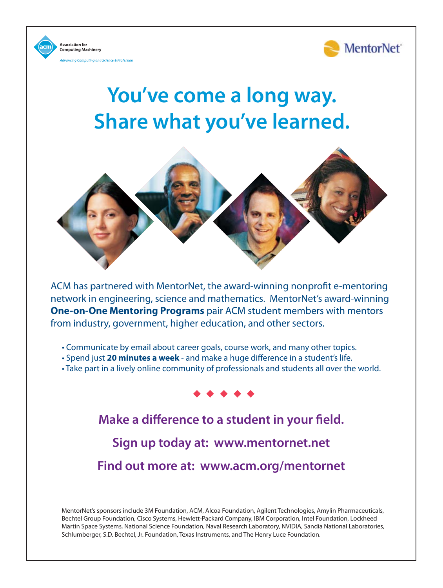

**You've come a long way. Share what you've learned.**

**Association for** 

**Computing Machinery** 

cina Computina as a Science & Professi



ACM has partnered with MentorNet, the award-winning nonprofit e-mentoring network in engineering, science and mathematics. MentorNet's award-winning **One-on-One Mentoring Programs** pair ACM student members with mentors from industry, government, higher education, and other sectors.

• Communicate by email about career goals, course work, and many other topics.

- Spend just **20 minutes a week** and make a huge difference in a student's life.
- Take part in a lively online community of professionals and students all over the world.



**Make a difference to a student in your field. Sign up today at: www.mentornet.net Find out more at: www.acm.org/mentornet**

MentorNet's sponsors include 3M Foundation, ACM, Alcoa Foundation, Agilent Technologies, Amylin Pharmaceuticals, Bechtel Group Foundation, Cisco Systems, Hewlett-Packard Company, IBM Corporation, Intel Foundation, Lockheed Martin Space Systems, National Science Foundation, Naval Research Laboratory, NVIDIA, Sandia National Laboratories, Schlumberger, S.D. Bechtel, Jr. Foundation, Texas Instruments, and The Henry Luce Foundation.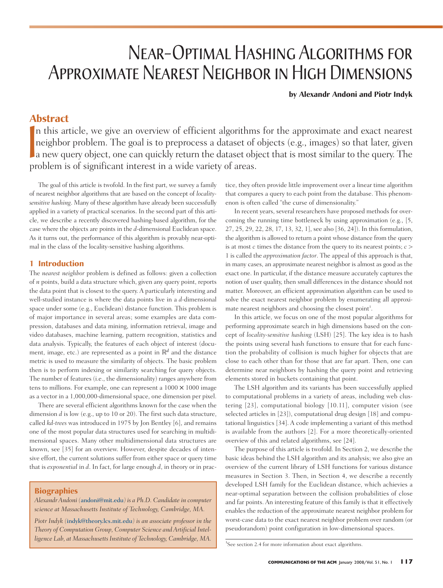# Near-Optimal Hashing Algorithms for Approximate Nearest Neighbor in High Dimensions

**by Alexandr Andoni and Piotr Indyk**

### **Abstract**

 $\begin{bmatrix} 1 \\ 1 \\ 2 \end{bmatrix}$ n this article, we give an overview of efficient algorithms for the approximate and exact nearest neighbor problem. The goal is to preprocess a dataset of objects (e.g., images) so that later, given a new query object, one can quickly return the dataset object that is most similar to the query. The problem is of significant interest in a wide variety of areas.

The goal of this article is twofold. In the first part, we survey a family of nearest neighbor algorithms that are based on the concept of *localitysensitive hashing*. Many of these algorithm have already been successfully applied in a variety of practical scenarios. In the second part of this article, we describe a recently discovered hashing-based algorithm, for the case where the objects are points in the *d*-dimensional Euclidean space. As it turns out, the performance of this algorithm is provably near-optimal in the class of the locality-sensitive hashing algorithms.

#### **1 Introduction**

The *nearest neighbor* problem is defined as follows: given a collection of *n* points, build a data structure which, given any query point, reports the data point that is closest to the query. A particularly interesting and well-studied instance is where the data points live in a *d*-dimensional space under some (e.g., Euclidean) distance function. This problem is of major importance in several areas; some examples are data compression, databases and data mining, information retrieval, image and video databases, machine learning, pattern recognition, statistics and data analysis. Typically, the features of each object of interest (document, image, etc.) are represented as a point in  $\mathbb{R}^d$  and the distance metric is used to measure the similarity of objects. The basic problem then is to perform indexing or similarity searching for query objects. The number of features (i.e., the dimensionality) ranges anywhere from tens to millions. For example, one can represent a  $1000 \times 1000$  image as a vector in a 1,000,000-dimensional space, one dimension per pixel.

There are several efficient algorithms known for the case when the dimension *d* is low (e.g., up to 10 or 20). The first such data structure, called *kd-trees* was introduced in 1975 by Jon Bentley [6], and remains one of the most popular data structures used for searching in multidimensional spaces. Many other multidimensional data structures are known, see [35] for an overview. However, despite decades of intensive effort, the current solutions suffer from either space or query time that is *exponential* in *d*. In fact, for large enough *d*, in theory or in prac-

**Biographies**

*Alexandr Andoni (*andoni@mit.edu*) is a Ph.D. Candidate in computer science at Massachusetts Institute of Technology, Cambridge, MA.*

*Piotr Indyk (*indyk@theory.lcs.mit.edu*) is an associate professor in the Theory of Computation Group, Computer Science and Artificial Intelligence Lab, at Massachusetts Institute of Technology, Cambridge, MA.* tice, they often provide little improvement over a linear time algorithm that compares a query to each point from the database. This phenomenon is often called "the curse of dimensionality."

In recent years, several researchers have proposed methods for overcoming the running time bottleneck by using approximation (e.g., [5, 27, 25, 29, 22, 28, 17, 13, 32, 1], see also [36, 24]). In this formulation, the algorithm is allowed to return a point whose distance from the query is at most *c* times the distance from the query to its nearest points; *c* > 1 is called the *approximation factor*. The appeal of this approach is that, in many cases, an approximate nearest neighbor is almost as good as the exact one. In particular, if the distance measure accurately captures the notion of user quality, then small differences in the distance should not matter. Moreover, an efficient approximation algorithm can be used to solve the exact nearest neighbor problem by enumerating all approximate nearest neighbors and choosing the closest point<sup>1</sup>.

In this article, we focus on one of the most popular algorithms for performing approximate search in high dimensions based on the concept of *locality-sensitive hashing* (LSH) [25]. The key idea is to hash the points using several hash functions to ensure that for each function the probability of collision is much higher for objects that are close to each other than for those that are far apart. Then, one can determine near neighbors by hashing the query point and retrieving elements stored in buckets containing that point.

The LSH algorithm and its variants has been successfully applied to computational problems in a variety of areas, including web clustering [23], computational biology [10.11], computer vision (see selected articles in [23]), computational drug design [18] and computational linguistics [34]. A code implementing a variant of this method is available from the authors [2]. For a more theoretically-oriented overview of this and related algorithms, see [24].

The purpose of this article is twofold. In Section 2, we describe the basic ideas behind the LSH algorithm and its analysis; we also give an overview of the current library of LSH functions for various distance measures in Section 3. Then, in Section 4, we describe a recently developed LSH family for the Euclidean distance, which achievies a near-optimal separation between the collision probabilities of close and far points. An interesting feature of this family is that it effectively enables the reduction of the approximate nearest neighbor problem for worst-case data to the exact nearest neighbor problem over random (or pseudorandom) point configuration in low-dimensional spaces.

<sup>&</sup>lt;sup>1</sup>See section 2.4 for more information about exact algorithms.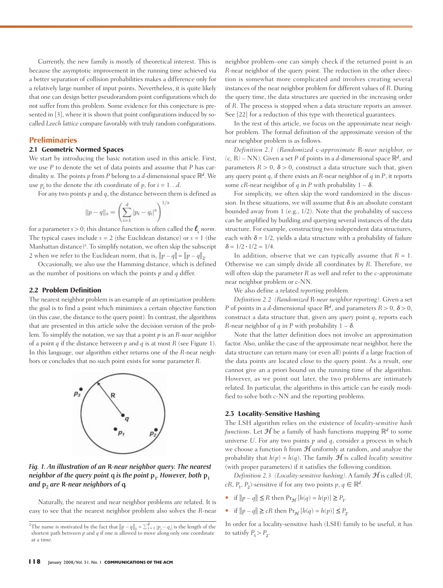Currently, the new family is mostly of theoretical interest. This is because the asymptotic improvement in the running time achieved via a better separation of collision probabilities makes a difference only for a relatively large number of input points. Nevertheless, it is quite likely that one can design better pseudorandom point configurations which do not suffer from this problem. Some evidence for this conjecture is presented in [3], where it is shown that point configurations induced by socalled *Leech lattice* compare favorably with truly random configurations.

#### **Preliminaries**

#### **2.1 Geometric Normed Spaces**

We start by introducing the basic notation used in this article. First, we use *P* to denote the set of data points and assume that *P* has cardinality *n*. The points *p* from *P* belong to a *d*-dimensional space  $\mathbb{R}^d$ . We use  $p_i$  to the denote the *i*th coordinate of  $p$ , for  $i = 1...d$ .

For any two points  $p$  and  $q$ , the distance between them is defined as

$$
||p - q||_s = \left(\sum_{i=1}^d |p_i - q_i|^s\right)^{1/s}
$$

for a parameter  $s > 0$ ; this distance function is often called the  $\ell$ <sub>s</sub> *norm*. The typical cases include  $s = 2$  (the Euclidean distance) or  $s = 1$  (the Manhattan distance)<sup>2</sup>. To simplify notation, we often skip the subscript 2 when we refer to the Euclidean norm, that is,  $||p - q|| = ||p - q||_2$ .

Occasionally, we also use the Hamming distance, which is defined as the number of positions on which the points *p* and *q* differ.

#### **2.2 Problem Definition**

The nearest neighbor problem is an example of an *optimization* problem: the goal is to find a point which minimizes a certain objective function (in this case, the distance to the query point). In contrast, the algorithms that are presented in this article solve the decision version of the problem. To simplify the notation, we say that a point *p* is an *R-near neighbor* of a point *q* if the distance between  $p$  and  $q$  is at most  $R$  (see Figure 1). In this language, our algorithm either returns one of the *R*-near neighbors or concludes that no such point exists for some parameter *R*.



#### *Fig. 1. An illustration of an* R*-near neighbor query. The nearest neighbor of the query point q is the point*  $p_1$ *<i>. However, both*  $p_1$ *and*  $p_2$  *are R-near neighbors of q.*

Naturally, the nearest and near neighbor problems are related. It is easy to see that the nearest neighbor problem also solves the *R*-near neighbor problem–one can simply check if the returned point is an *R*-near neighbor of the query point. The reduction in the other direction is somewhat more complicated and involves creating several instances of the near neighbor problem for different values of *R*. During the query time, the data structures are queried in the increasing order of *R*. The process is stopped when a data structure reports an answer. See [22] for a reduction of this type with theoretical guarantees.

In the rest of this article, we focus on the approximate near neighbor problem. The formal definition of the approximate version of the near neighbor problem is as follows.

*Definition 2.1 (Randomized* c*-approximate* R*-near neighbor, or*  $(c, R) - NN$ *)*. Given a set *P* of points in a *d*-dimensional space  $\mathbb{R}^d$ , and parameters  $R > 0$ ,  $\delta > 0$ , construct a data structure such that, given any query point *q*, if there exists an *R*-near neighbor of *q* in *P*, it reports some *cR*-near neighbor of *q* in *P* with probability  $1 - \delta$ .

For simplicity, we often skip the word randomized in the discussion. In these situations, we will assume that  $\delta$  is an absolute constant bounded away from 1 (e.g., 1/2). Note that the probability of success can be amplified by building and querying several instances of the data structure. For example, constructing two independent data structures, each with  $\delta = 1/2$ , yields a data structure with a probability of failure  $\delta = 1/2 \cdot 1/2 = 1/4$ .

In addition, observe that we can typically assume that  $R = 1$ . Otherwise we can simply divide all coordinates by *R*. Therefore, we will often skip the parameter *R* as well and refer to the *c*-approximate near neighbor problem or *c*-NN.

We also define a related *reporting* problem.

*Definition 2.2 (Randomized* R*-near neighbor reporting)*. Given a set *P* of points in a *d*-dimensional space  $\mathbb{R}^d$ , and parameters  $R > 0$ ,  $\delta > 0$ , construct a data structure that, given any *query* point *q*, reports each *R*-near neighbor of *q* in *P* with probability  $1 - \delta$ .

Note that the latter definition does not involve an approximation factor. Also, unlike the case of the approximate near neighbor, here the data structure can return many (or even all) points if a large fraction of the data points are located close to the query point. As a result, one cannot give an a priori bound on the running time of the algorithm. However, as we point out later, the two problems are intimately related. In particular, the algorithms in this article can be easily modified to solve both *c*-NN and the reporting problems.

#### **2.3 Locality-Sensitive Hashing**

The LSH algorithm relies on the existence of *locality-sensitive hash functions*. Let  $\mathcal{H}$  be a family of hash functions mapping  $\mathbb{R}^d$  to some universe *U*. For any two points *p* and *q*, consider a process in which we choose a function  $h$  from  $H$  uniformly at random, and analyze the probability that  $h(p) = h(q)$ . The family  $H$  is called *locality sensitive* (with proper parameters) if it satisfies the following condition.

*Definition 2.3 (Locality-sensitive hashing)*. A family  $\mathcal{H}$  is called (*R*, *cR*, *P*<sub>1</sub>, *P*<sub>2</sub>)-sensitive if for any two points  $p, q \in \mathbb{R}^d$ .

- if  $||p q|| \le R$  then  $Pr_{\mathcal{H}}[h(q) = h(p)] \ge P_1$ ,
- if  $||p q|| \ge cR$  then  $Pr_{\mathcal{H}}[h(q) = h(p)] \le P_2$ .

In order for a locality-sensitive hash (LSH) family to be useful, it has to satisfy  $P_1 > P_2$ .

<sup>&</sup>lt;sup>2</sup>The name is motivated by the fact that  $||p - q||_1 = \sum_{i=1}^d |p_i - q_i|$  is the length of the shortest path between *p* and *q* if one is allowed to move along only one coordinate at a time.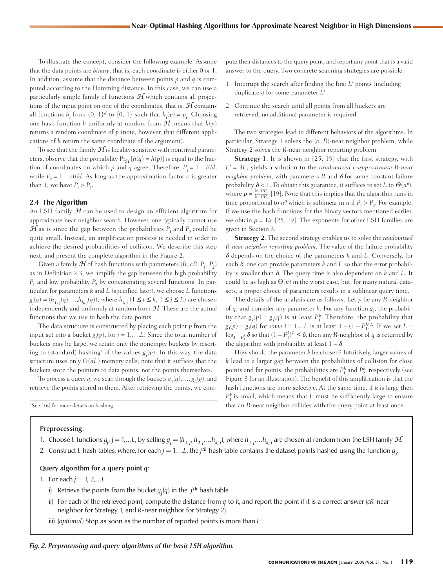To illustrate the concept, consider the following example. Assume that the data points are *binary*, that is, each coordinate is either 0 or 1. In addition, assume that the distance between points *p* and *q* is computed according to the Hamming distance. In this case, we can use a particularly simple family of functions  $\mathcal H$  which contains all projections of the input point on one of the coordinates, that is,  $H$  contains all functions  $h_i$  from  $\{0, 1\}^d$  to  $\{0, 1\}$  such that  $h_i(p) = p_i$ . Choosing one hash function *h* uniformly at random from  $\mathcal{H}$  means that  $h(p)$ returns a random coordinate of *p* (note, however, that different applications of *h* return the same coordinate of the argument).

To see that the family  $\mathcal{H}$  is locality-sensitive with nontrivial parameters, observe that the probability  $Pr_{\mathcal{H}}[h(q) = h(p)]$  is equal to the fraction of coordinates on which  $p$  and  $q$  agree. Therefore,  $P_1 = 1 - R/d$ , while  $P_2 = 1 - cR/d$ . As long as the approximation factor *c* is greater than 1, we have  $P_1 > P_2$ .

#### **2.4 The Algorithm**

An LSH family  $H$  can be used to design an efficient algorithm for approximate near neighbor search. However, one typically cannot use  $\mathcal{H}$  as is since the gap between the probabilities  $P_1$  and  $P_2$  could be quite small. Instead, an amplification process is needed in order to achieve the desired probabilities of collision. We describe this step next, and present the complete algorithm in the Figure 2.

Given a family  $\mathcal{H}$  of hash functions with parameters  $(R, cR, P_1, P_2)$ as in Definition 2.3, we amplify the gap between the high probability  $P_1$  and low probability  $P_2$  by concatenating several functions. In particular, for parameters *k* and *L* (specified later), we choose *L* functions  $g_j(q) = (h_{1,j}(q),...,h_{k,j}(q)),$  where  $h_{t,j}$   $(1 \le t \le k, 1 \le j \le L)$  are chosen independently and uniformly at random from  $H$ . These are the actual functions that we use to hash the data points.

The data structure is constructed by placing each point *p* from the input set into a bucket  $g_j(p)$ , for  $j = 1,...,L$ . Since the total number of buckets may be large, we retain only the nonempty buckets by resorting to (standard) hashing<sup>3</sup> of the values  $g_j(p)$ . In this way, the data structure uses only  $O(nL)$  memory cells; note that it suffices that the buckets store the pointers to data points, not the points themselves.

To process a query *q*, we scan through the buckets  $g_1(q),..., g_t(q)$ , and retrieve the points stored in them. After retrieving the points, we com-

3 See [16] for more details on hashing.

#### Preprocessing:

1. Choose L functions  $g_j$ , j = 1,…L, by setting  $g_j = (h_{1,j}, h_{2,j},...,h_{k,j})$ , where  $h_{1,j},...,h_{k,j}$  are chosen at random from the LSH family  $H$ .

2. Construct *L* hash tables, where, for each  $j = 1,...L$ , the  $j$ <sup>th</sup> hash table contains the dataset points hashed using the function  $g_j$ . .

#### Query algorithm for a query point *q*:

1. For each  $j = 1, 2,...L$ 

- i) Retrieve the points from the bucket  $g_j(q)$  in the  $j$ <sup>th</sup> hash table.
- ii) For each of the retrieved point, compute the distance from  $q$  to it, and report the point if it is a correct answer  $(cR$ -near neighbor for Strategy 1, and *R*-near neighbor for Strategy 2).
- iii) (*optional*) Stop as soon as the number of reported points is more than *L*!.

#### *Fig. 2. Preprocessing and query algorithms of the basic LSH algorithm.*

pute their distances to the query point, and report any point that is a valid answer to the query. Two concrete scanning strategies are possible.

- 1. Interrupt the search after finding the first *L'* points (including duplicates) for some parameter *L*!.
- 2. Continue the search until all points from all buckets are retrieved; no additional parameter is required.

The two strategies lead to different behaviors of the algorithms. In particular, Strategy 1 solves the (*c*, *R*)-near neighbor problem, while Strategy 2 solves the *R*-near neighbor reporting problem.

**Strategy 1**. It is shown in [25, 19] that the first strategy, with *L*! = 3*L*, yields a solution to the *randomized c-approximate R-near neighbor problem*, with parameters  $R$  and  $\delta$  for some constant failure probability  $\delta$  < 1. To obtain this guarantee, it suffices to set *L* to  $\Theta(n^{\rho})$ , where  $\rho = \frac{\ln 1/P_1}{\ln 1/P_1}$  [19]. Note that this implies that the algorithm runs in time proportional to  $n^{\rho}$  which is sublinear in *n* if  $P_1 > P_2$ . For example, if we use the hash functions for the binary vectors mentioned earlier, we obtain  $\rho = 1/c$  [25, 19]. The exponents for other LSH families are given in Section 3. ln 1/*P*<sup>2</sup>

**Strategy 2**. The second strategy enables us to solve the *randomized R-near neighbor reporting problem*. The value of the failure probability  $\delta$  depends on the choice of the parameters *k* and *L*. Conversely, for each  $\delta$ , one can provide parameters  $k$  and  $L$  so that the error probability is smaller than  $\delta$ . The query time is also dependent on  $k$  and  $L$ . It could be as high as  $\Theta(n)$  in the worst case, but, for many natural datasets, a proper choice of parameters results in a sublinear query time.

The details of the analysis are as follows. Let *p* be any *R*-neighbor of *q*, and consider any parameter *k*. For any function *g<sup>i</sup>* , the probability that  $g_i(p) = g_i(q)$  is at least  $P_1^k$ . Therefore, the probability that  $g_i(p) = g_i(q)$  for *some*  $i = 1...L$  is at least  $1 - (1 - P_1^k)^L$ . If we set  $L =$  $\log_{1-P_1^k} \delta$  so that  $(1-P_1^k)^L \leq \delta$ , then any *R*-neighbor of *q* is returned by the algorithm with probability at least  $1 - \delta$ .

How should the parameter *k* be chosen? Intuitively, larger values of *k* lead to a larger gap between the probabilities of collision for close points and far points; the probabilities are  $P_1^k$  and  $P_2^k$ , respectively (see Figure 3 for an illustration). The benefit of this amplification is that the hash functions are more selective. At the same time, if *k* is large then  $P_1^k$  is small, which means that *L* must be sufficiently large to ensure that an *R*-near neighbor collides with the query point at least once.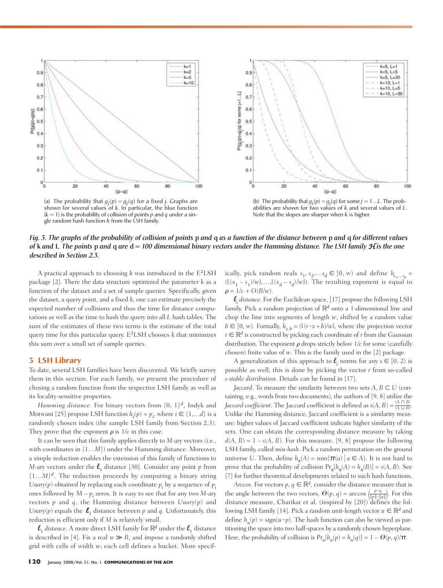

(a) The probability that  $g_j(p) = g_j(q)$  for a fixed *j*. Graphs are shown for several values of *k*. In particular, the blue function  $(k = 1)$  is the probability of collision of points p and q under a single random hash function *h* from the LSH family.



(b) The probability that  $g_j(p) = g_j(q)$  for some  $j = 1...L$ . The probabilities are shown for two values of *k* and several values of *L*. Note that the slopes are sharper when *k* is higher.

*Fig. 3. The graphs of the probability of collision of points* p *and* q *as a function of the distance between* p *and* q *for different values of* **k** and **L**. The points **p** and **q** are **d** = 100 dimensional binary vectors under the Hamming distance. The LSH family  $\mathcal{H}$  is the one *described in Section 2.3.*

A practical approach to choosing *k* was introduced in the E<sup>2</sup>LSH package [2]. There the data structure optimized the parameter *k* as a function of the dataset and a set of sample queries. Specifically, given the dataset, a query point, and a fixed *k*, one can estimate precisely the expected number of collisions and thus the time for distance computations as well as the time to hash the query into all *L* hash tables. The sum of the estimates of these two terms is the estimate of the total query time for this particular query. E<sup>2</sup>LSH chooses *k* that minimizes this sum over a small set of sample queries.

#### **3 LSH Library**

To date, several LSH families have been discovered. We briefly survey them in this section. For each family, we present the procedure of chosing a random function from the respective LSH family as well as its locality-sensitive properties.

*Hamming distance*. For binary vectors from  $\{0, 1\}^d$ , Indyk and Motwani [25] propose LSH function  $h_i(p) = p_i$ , where  $i \in \{1,...d\}$  is a randomly chosen index (the sample LSH family from Section 2.3). They prove that the exponent  $\rho$  is  $1/c$  in this case.

It can be seen that this family applies directly to *M*-ary vectors (i.e., with coordinates in  $\{1...M\}$  under the Hamming distance. Moreover, a simple reduction enables the extension of this family of functions to *M*-ary vectors under the  $\ell_1$  distance [30]. Consider any point  $p$  from  ${1...M}^d$ . The reduction proceeds by computing a binary string *Unary*( $p$ ) obtained by replacing each coordinate  $p_i$ , by a sequence of  $p_i$ ones followed by  $M - p_i$  zeros. It is easy to see that for any two  $M$ -ary vectors *p* and *q*, the Hamming distance between *Unary*(*p*) and *Unary*( $p$ ) equals the  $\ell_1$  distance between  $p$  and  $q$ . Unfortunately, this reduction is efficient only if *M* is relatively small.

 $\ell_1$  *distance*. A more direct LSH family for  $\mathbb{R}^d$  under the  $\ell_1$  distance is described in [4]. Fix a real  $w \gg R$ , and impose a randomly shifted grid with cells of width *w*; each cell defines a bucket. More specif-

120 January 2008/Vol. 51, No. 1 COMMUNICATIONS OF THE ACM

ically, pick random reals  $s_1, s_2, \ldots s_d \in [0, w)$  and define  $h_{s_1, \ldots s_d} =$  $(1(x_1 - s_1)/w, \ldots, 1(x_d - s_d)/w)$ . The resulting exponent is equal to  $\rho = 1/c + O(R/w)$ .

l*<sup>s</sup> distance*. For the Euclidean space, [17] propose the following LSH family. Pick a random projection of  $\mathbb{R}^d$  onto a 1-dimensional line and chop the line into segments of length *w*, shifted by a random value  $b \in [0, w)$ . Formally,  $h_{r, b} = (1(r \cdot x + b)/w)$ , where the projection vector  $r \in \mathbb{R}^d$  is constructed by picking each coordinate of *r* from the Gaussian distribution. The exponent  $\rho$  drops strictly below  $1/c$  for some (carefully chosen) finite value of *w*. This is the family used in the [2] package.

A generalization of this approach to  $\ell_s$  norms for any  $s \in [0, 2)$  is possible as well; this is done by picking the vector *r* from so-called *s-stable distribution*. Details can be found in [17].

*Jaccard*. To measure the similarity between two sets  $A, B \subseteq U$  (containing, e.g., words from two documents), the authors of [9, 8] utilize the *Jaccard coefficient*. The Jaccard coefficient is defined as  $s(A, B) = \frac{|A \cap B|}{|A + |B|}$ . Unlike the Hamming distance, Jaccard coefficient is a similarity measure: higher values of Jaccard coefficient indicate higher similarity of the sets. One can obtain the corresponding distance measure by taking  $d(A, B) = 1 - s(A, B)$ . For this measure, [9, 8] propose the following LSH family, called *min-hash*. Pick a random permutation on the ground universe *U*. Then, define  $h_{\pi}(A) = \min\{\pi(a) \mid a \in A\}$ . It is not hard to prove that the probability of collision  $Pr_{\pi}[h_{\pi}(A) = h_{\pi}(B)] = s(A, B)$ . See [7] for further theoretical developments related to such hash functions. *A*  $\cup$  *B* 

*Arccos*. For vectors  $p, q \in \mathbb{R}^d$ , consider the distance measure that is the angle between the two vectors,  $\Theta(p, q) = \arccos\left(\frac{p \cdot q}{\|p\| \|q\|}\right)$ . For this distance measure, Charikar et al. (inspired by [20]) defines the following LSH family [14]. Pick a random unit-length vector  $u \in \mathbb{R}^d$  and define  $h_u(p) = \text{sign}(u \cdot p)$ . The hash function can also be viewed as partitioning the space into two half-spaces by a randomly chosen hyperplane. Here, the probability of collision is  $Pr_u[h_u(p) = h_u(q)] = 1 - \Theta(p, q)/\pi$ .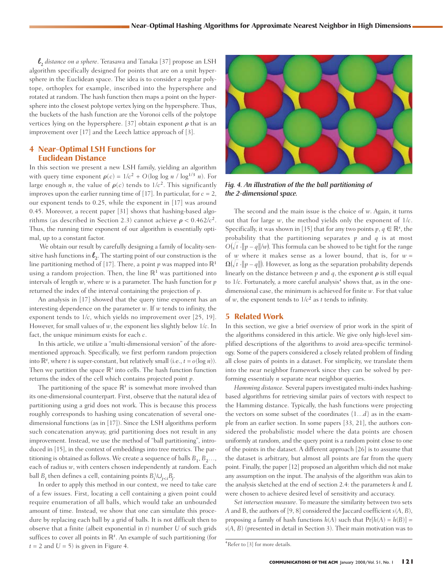l<sup>2</sup> *distance on a sphere*. Terasawa and Tanaka [37] propose an LSH algorithm specifically designed for points that are on a unit hypersphere in the Euclidean space. The idea is to consider a regular polytope, orthoplex for example, inscribed into the hypersphere and rotated at random. The hash function then maps a point on the hypersphere into the closest polytope vertex lying on the hypersphere. Thus, the buckets of the hash function are the Voronoi cells of the polytope vertices lying on the hypersphere. [37] obtain exponent  $\rho$  that is an improvement over [17] and the Leech lattice approach of [3].

#### **4 Near-Optimal LSH Functions for Euclidean Distance**

In this section we present a new LSH family, yielding an algorithm with query time exponent  $\rho(c) = 1/c^2 + O(\log \log n / \log^{1/3} n)$ . For large enough *n*, the value of  $\rho(c)$  tends to  $1/c^2$ . This significantly improves upon the earlier running time of  $[17]$ . In particular, for  $c = 2$ , our exponent tends to 0.25, while the exponent in [17] was around 0.45. Moreover, a recent paper  $[31]$  shows that hashing-based algorithms (as described in Section 2.3) cannot achieve  $\rho < 0.462/c^2$ . Thus, the running time exponent of our algorithm is essentially optimal, up to a constant factor.

We obtain our result by carefully designing a family of locality-sensitive hash functions in  $\ell_2$ . The starting point of our construction is the line partitioning method of [17]. There, a point  $p$  was mapped into  $\mathbb{R}^1$ using a random projection. Then, the line  $\mathbb{R}^1$  was partitioned into intervals of length *w*, where *w* is a parameter. The hash function for *p* returned the index of the interval containing the projection of *p*.

An analysis in [17] showed that the query time exponent has an interesting dependence on the parameter *w*. If *w* tends to infinity, the exponent tends to 1/*c*, which yields no improvement over [25, 19]. How ever, for small values of *w*, the exponent lies slightly below 1/*c*. In fact, the unique minimum exists for each *c*.

In this article, we utilize a "multi-dimensional version" of the aforementioned approach. Specifically, we first perform random projection into  $\mathbb{R}^t$ , where *t* is super-constant, but relatively small (i.e.,  $t = o(\log n)$ ). Then we partition the space  $\mathbb{R}^t$  into cells. The hash function function returns the index of the cell which contains projected point *p*.

The partitioning of the space  $\mathbb{R}^t$  is somewhat more involved than its one-dimensional counterpart. First, observe that the natural idea of partitioning using a grid does not work. This is because this process roughly corresponds to hashing using concatenation of several onedimensional functions (as in [17]). Since the LSH algorithms perform such concatenation anyway, grid partitioning does not result in any improvement. Instead, we use the method of "ball partitioning", introduced in [15], in the context of embeddings into tree metrics. The partitioning is obtained as follows. We create a sequence of balls  $B_1, B_2, \ldots$ , each of radius *w*, with centers chosen independently at random. Each ball  $B_i$  then defines a cell, containing points  $B_i \cup_{j < i} B_j$ .

In order to apply this method in our context, we need to take care of a few issues. First, locating a cell containing a given point could require enumeration of all balls, which would take an unbounded amount of time. Instead, we show that one can simulate this procedure by replacing each ball by a grid of balls. It is not difficult then to observe that a finite (albeit exponential in *t*) number *U* of such grids suffices to cover all points in  $\mathbb{R}^t$ . An example of such partitioning (for  $t = 2$  and  $U = 5$ ) is given in Figure 4.



*Fig. 4. An illustration of the the ball partitioning of*  the 2-dimensional space.

The second and the main issue is the choice of *w*. Again, it turns out that for large *w*, the method yields only the exponent of 1/*c*. Specifically, it was shown in [15] that for any two points  $p, q \in \mathbb{R}^t$ , the probability that the partitioning separates  $p$  and  $q$  is at most  $O(\sqrt{t} \cdot ||p - q||/w)$ . This formula can be showed to be tight for the range of *w* where it makes sense as a lower bound, that is, for  $w =$  $\Omega(\sqrt{t} \cdot ||p - q||)$ . However, as long as the separation probability depends linearly on the distance between  $p$  and  $q$ , the exponent  $\rho$  is still equal to 1/c. Fortunately, a more careful analysis<sup>4</sup> shows that, as in the onedimensional case, the minimum is achieved for finite *w*. For that value of *w*, the exponent tends to  $1/c^2$  as *t* tends to infinity.

#### **5 Related Work**

In this section, we give a brief overview of prior work in the spirit of the algorithms considered in this article. We give only high-level simplified descriptions of the algorithms to avoid area-specific terminology. Some of the papers considered a closely related problem of finding all close pairs of points in a dataset. For simplicity, we translate them into the near neighbor framework since they can be solved by performing essentialy *n* separate near neighbor queries.

*Hamming distance.* Several papers investigated multi-index hashingbased algorithms for retrieving similar pairs of vectors with respect to the Hamming distance. Typically, the hash functions were projecting the vectors on some subset of the coordinates {1…*d*} as in the example from an earlier section. In some papers [33, 21], the authors considered the probabilistic model where the data points are chosen uniformly at random, and the query point is a random point close to one of the points in the dataset. A different approach [26] is to assume that the dataset is arbitrary, but almost all points are far from the query point. Finally, the paper [12] proposed an algorithm which did not make any assumption on the input. The analysis of the algorithm was akin to the analysis sketched at the end of section 2.4: the parameters *k* and *L* were chosen to achieve desired level of sensitivity and accuracy.

*Set intersection measure*. To measure the similarity between two sets *A* and B, the authors of [9, 8] considered the Jaccard coefficient *s*(*A*, *B*), proposing a family of hash functions  $h(A)$  such that  $Pr[h(A) = h(B)] =$  $s(A, B)$  (presented in detail in Section 3). Their main motivation was to

<sup>4</sup> Refer to [3] for more details.